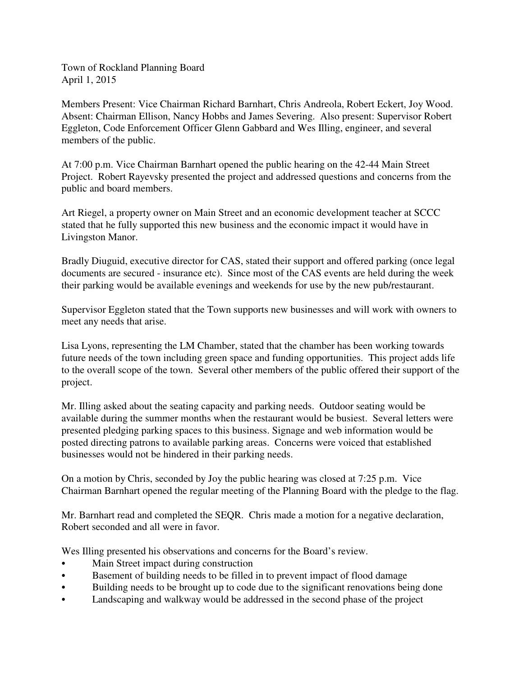Town of Rockland Planning Board April 1, 2015

Members Present: Vice Chairman Richard Barnhart, Chris Andreola, Robert Eckert, Joy Wood. Absent: Chairman Ellison, Nancy Hobbs and James Severing. Also present: Supervisor Robert Eggleton, Code Enforcement Officer Glenn Gabbard and Wes Illing, engineer, and several members of the public.

At 7:00 p.m. Vice Chairman Barnhart opened the public hearing on the 42-44 Main Street Project. Robert Rayevsky presented the project and addressed questions and concerns from the public and board members.

Art Riegel, a property owner on Main Street and an economic development teacher at SCCC stated that he fully supported this new business and the economic impact it would have in Livingston Manor.

Bradly Diuguid, executive director for CAS, stated their support and offered parking (once legal documents are secured - insurance etc). Since most of the CAS events are held during the week their parking would be available evenings and weekends for use by the new pub/restaurant.

Supervisor Eggleton stated that the Town supports new businesses and will work with owners to meet any needs that arise.

Lisa Lyons, representing the LM Chamber, stated that the chamber has been working towards future needs of the town including green space and funding opportunities. This project adds life to the overall scope of the town. Several other members of the public offered their support of the project.

Mr. Illing asked about the seating capacity and parking needs. Outdoor seating would be available during the summer months when the restaurant would be busiest. Several letters were presented pledging parking spaces to this business. Signage and web information would be posted directing patrons to available parking areas. Concerns were voiced that established businesses would not be hindered in their parking needs.

On a motion by Chris, seconded by Joy the public hearing was closed at 7:25 p.m. Vice Chairman Barnhart opened the regular meeting of the Planning Board with the pledge to the flag.

Mr. Barnhart read and completed the SEQR. Chris made a motion for a negative declaration, Robert seconded and all were in favor.

Wes Illing presented his observations and concerns for the Board's review.

- Main Street impact during construction
- Basement of building needs to be filled in to prevent impact of flood damage
- Building needs to be brought up to code due to the significant renovations being done
- Landscaping and walkway would be addressed in the second phase of the project